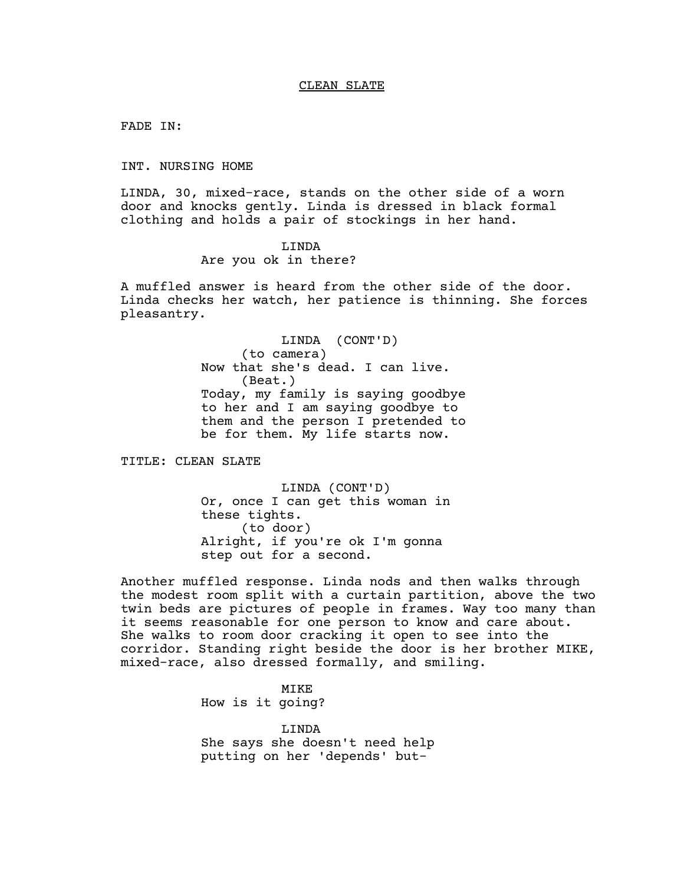FADE IN:

INT. NURSING HOME

LINDA, 30, mixed-race, stands on the other side of a worn door and knocks gently. Linda is dressed in black formal clothing and holds a pair of stockings in her hand.

> LINDA Are you ok in there?

A muffled answer is heard from the other side of the door. Linda checks her watch, her patience is thinning. She forces pleasantry.

> LINDA (CONT'D) (to camera) Now that she's dead. I can live. (Beat.) Today, my family is saying goodbye to her and I am saying goodbye to them and the person I pretended to be for them. My life starts now.

TITLE: CLEAN SLATE

LINDA (CONT'D) Or, once I can get this woman in these tights. (to door) Alright, if you're ok I'm gonna step out for a second.

Another muffled response. Linda nods and then walks through the modest room split with a curtain partition, above the two twin beds are pictures of people in frames. Way too many than it seems reasonable for one person to know and care about. She walks to room door cracking it open to see into the corridor. Standing right beside the door is her brother MIKE, mixed-race, also dressed formally, and smiling.

> MIKE How is it going?

LINDA She says she doesn't need help putting on her 'depends' but-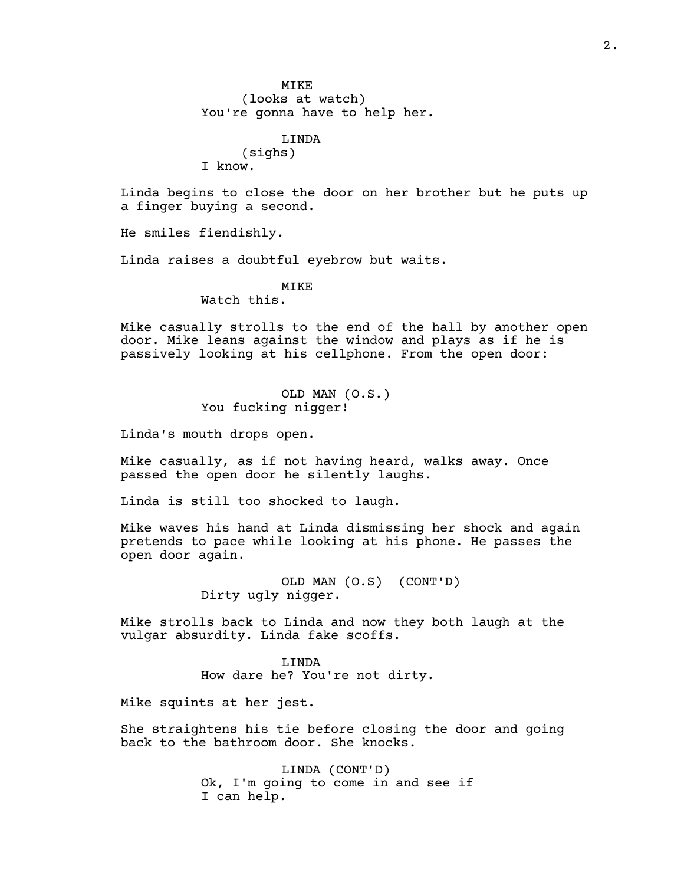LINDA (sighs) I know.

Linda begins to close the door on her brother but he puts up a finger buying a second.

He smiles fiendishly.

Linda raises a doubtful eyebrow but waits.

## MIKE

Watch this.

Mike casually strolls to the end of the hall by another open door. Mike leans against the window and plays as if he is passively looking at his cellphone. From the open door:

> OLD MAN (O.S.) You fucking nigger!

Linda's mouth drops open.

Mike casually, as if not having heard, walks away. Once passed the open door he silently laughs.

Linda is still too shocked to laugh.

Mike waves his hand at Linda dismissing her shock and again pretends to pace while looking at his phone. He passes the open door again.

> OLD MAN (O.S) (CONT'D) Dirty ugly nigger.

Mike strolls back to Linda and now they both laugh at the vulgar absurdity. Linda fake scoffs.

> LINDA How dare he? You're not dirty.

Mike squints at her jest.

She straightens his tie before closing the door and going back to the bathroom door. She knocks.

> LINDA (CONT'D) Ok, I'm going to come in and see if I can help.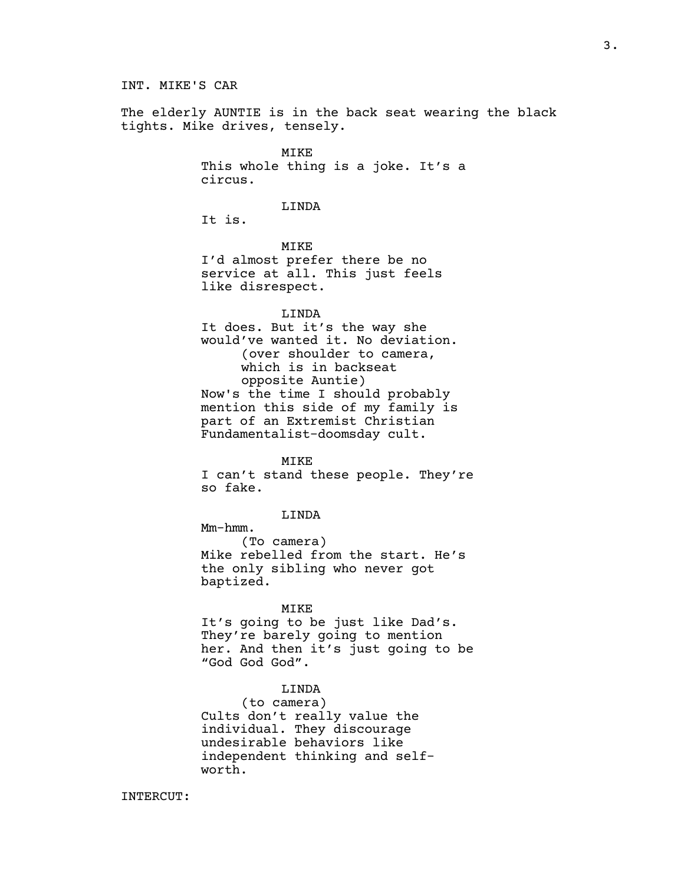## INT. MIKE'S CAR

The elderly AUNTIE is in the back seat wearing the black tights. Mike drives, tensely.

> MIKE This whole thing is a joke. It's a circus.

#### LINDA

It is.

MIKE I'd almost prefer there be no service at all. This just feels like disrespect.

#### LINDA

It does. But it's the way she would've wanted it. No deviation. (over shoulder to camera, which is in backseat opposite Auntie) Now's the time I should probably mention this side of my family is part of an Extremist Christian Fundamentalist-doomsday cult.

MIKE

I can't stand these people. They're so fake.

LINDA

Mm-hmm.

(To camera) Mike rebelled from the start. He's the only sibling who never got baptized.

#### MIKE

It's going to be just like Dad's. They're barely going to mention her. And then it's just going to be "God God God".

## LINDA

(to camera) Cults don't really value the individual. They discourage undesirable behaviors like independent thinking and selfworth.

INTERCUT: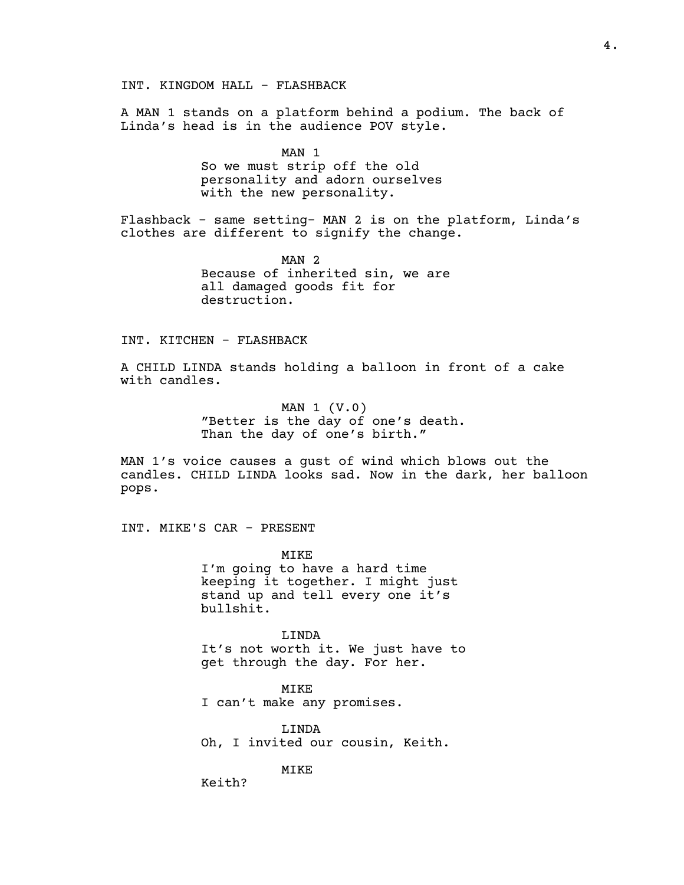INT. KINGDOM HALL - FLASHBACK

A MAN 1 stands on a platform behind a podium. The back of Linda's head is in the audience POV style.

> MAN 1 So we must strip off the old personality and adorn ourselves with the new personality.

Flashback - same setting- MAN 2 is on the platform, Linda's clothes are different to signify the change.

> MAN 2 Because of inherited sin, we are all damaged goods fit for destruction.

#### INT. KITCHEN - FLASHBACK

A CHILD LINDA stands holding a balloon in front of a cake with candles.

> MAN 1 (V.0) "Better is the day of one's death. Than the day of one's birth."

MAN 1's voice causes a gust of wind which blows out the candles. CHILD LINDA looks sad. Now in the dark, her balloon pops.

INT. MIKE'S CAR - PRESENT

MIKE I'm going to have a hard time keeping it together. I might just stand up and tell every one it's bullshit.

LINDA It's not worth it. We just have to get through the day. For her.

MIKE I can't make any promises.

LINDA Oh, I invited our cousin, Keith.

MIKE

Keith?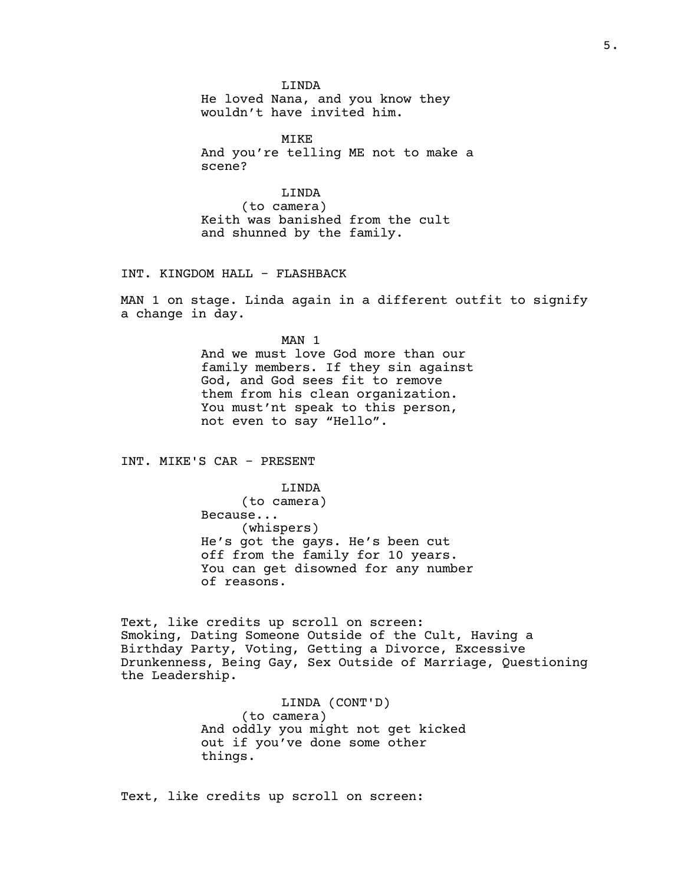LINDA

He loved Nana, and you know they wouldn't have invited him.

MIKE And you're telling ME not to make a scene?

LINDA (to camera) Keith was banished from the cult and shunned by the family.

INT. KINGDOM HALL - FLASHBACK

MAN 1 on stage. Linda again in a different outfit to signify a change in day.

> MAN 1 And we must love God more than our family members. If they sin against God, and God sees fit to remove them from his clean organization. You must'nt speak to this person, not even to say "Hello".

INT. MIKE'S CAR - PRESENT

LINDA (to camera) Because... (whispers) He's got the gays. He's been cut off from the family for 10 years. You can get disowned for any number of reasons.

Text, like credits up scroll on screen: Smoking, Dating Someone Outside of the Cult, Having a Birthday Party, Voting, Getting a Divorce, Excessive Drunkenness, Being Gay, Sex Outside of Marriage, Questioning the Leadership.

> LINDA (CONT'D) (to camera) And oddly you might not get kicked out if you've done some other things.

Text, like credits up scroll on screen: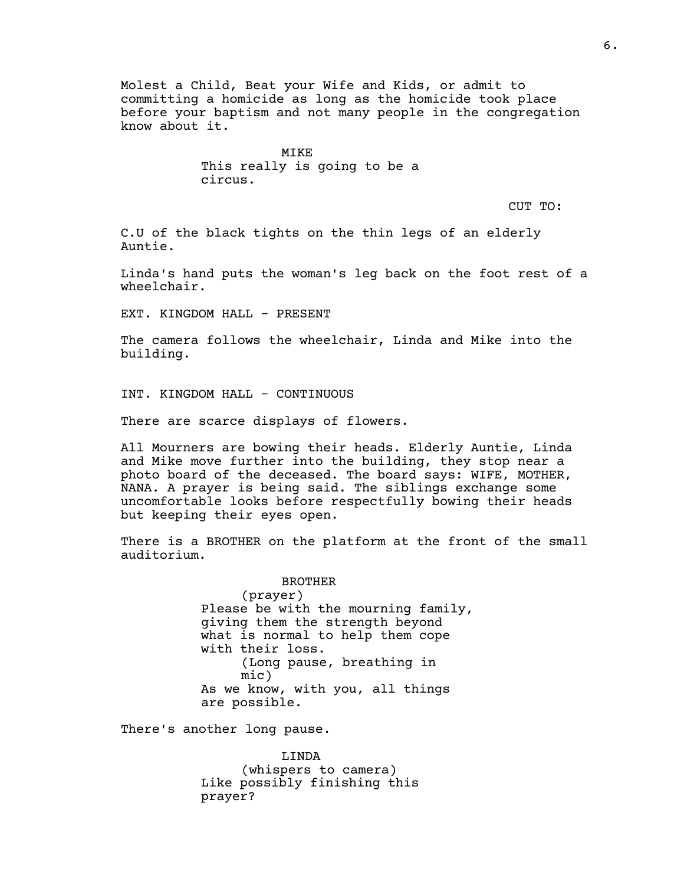Molest a Child, Beat your Wife and Kids, or admit to committing a homicide as long as the homicide took place before your baptism and not many people in the congregation know about it.

> MIKE This really is going to be a circus.

> > CUT TO:

C.U of the black tights on the thin legs of an elderly Auntie.

Linda's hand puts the woman's leg back on the foot rest of a wheelchair.

EXT. KINGDOM HALL - PRESENT

The camera follows the wheelchair, Linda and Mike into the building.

INT. KINGDOM HALL - CONTINUOUS

There are scarce displays of flowers.

All Mourners are bowing their heads. Elderly Auntie, Linda and Mike move further into the building, they stop near a photo board of the deceased. The board says: WIFE, MOTHER, NANA. A prayer is being said. The siblings exchange some uncomfortable looks before respectfully bowing their heads but keeping their eyes open.

There is a BROTHER on the platform at the front of the small auditorium.

> BROTHER (prayer) Please be with the mourning family, giving them the strength beyond what is normal to help them cope with their loss. (Long pause, breathing in mic) As we know, with you, all things are possible.

There's another long pause.

LINDA (whispers to camera) Like possibly finishing this prayer?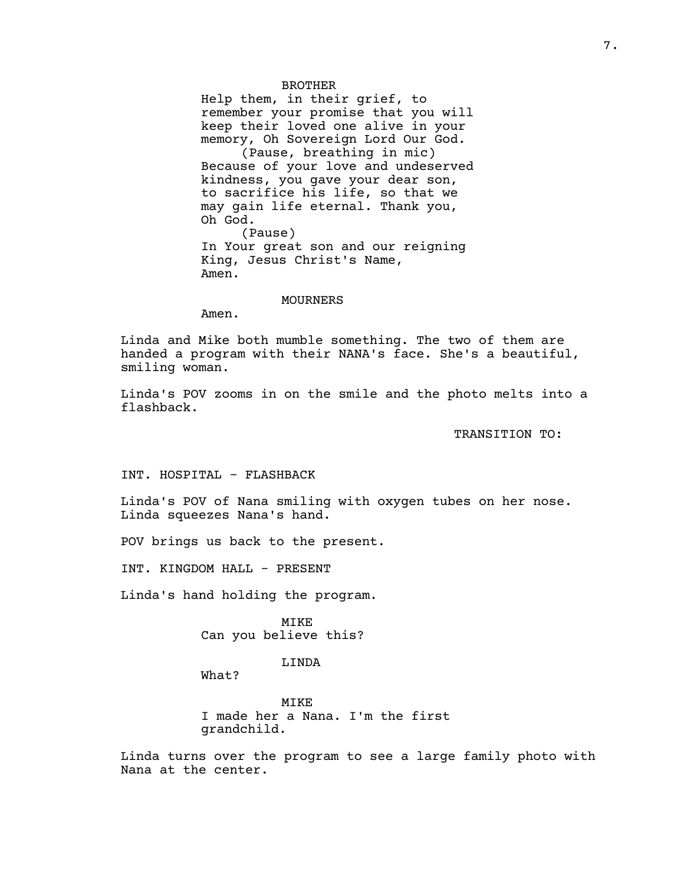BROTHER Help them, in their grief, to remember your promise that you will keep their loved one alive in your memory, Oh Sovereign Lord Our God. (Pause, breathing in mic) Because of your love and undeserved kindness, you gave your dear son, to sacrifice his life, so that we may gain life eternal. Thank you, Oh God. (Pause) In Your great son and our reigning King, Jesus Christ's Name, Amen.

#### MOURNERS

Amen.

Linda and Mike both mumble something. The two of them are handed a program with their NANA's face. She's a beautiful, smiling woman.

Linda's POV zooms in on the smile and the photo melts into a flashback.

TRANSITION TO:

INT. HOSPITAL - FLASHBACK

Linda's POV of Nana smiling with oxygen tubes on her nose. Linda squeezes Nana's hand.

POV brings us back to the present.

INT. KINGDOM HALL - PRESENT

Linda's hand holding the program.

MIKE Can you believe this?

LINDA

What?

MIKE I made her a Nana. I'm the first grandchild.

Linda turns over the program to see a large family photo with Nana at the center.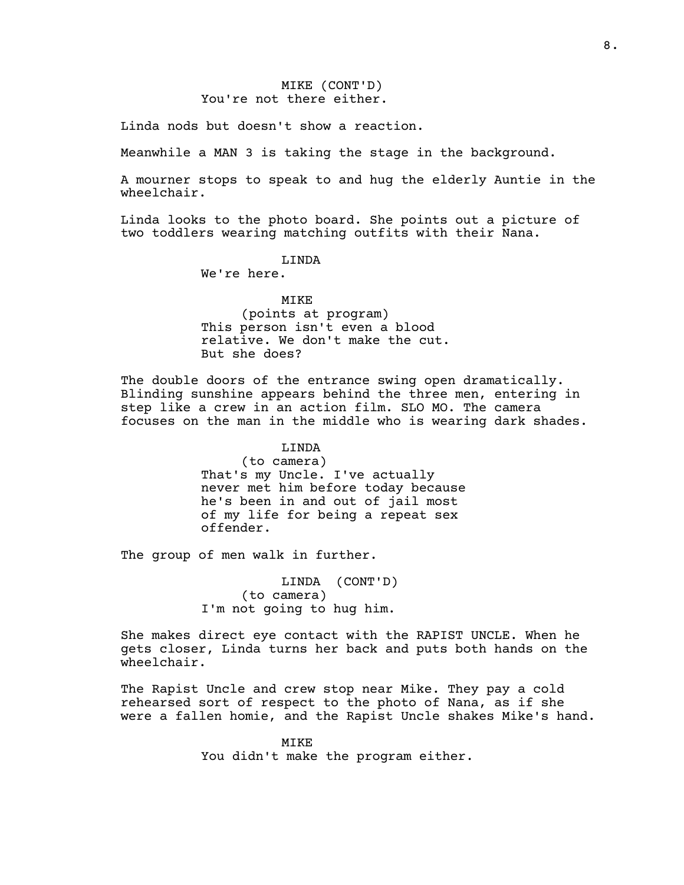# MIKE (CONT'D) You're not there either.

Linda nods but doesn't show a reaction.

Meanwhile a MAN 3 is taking the stage in the background.

A mourner stops to speak to and hug the elderly Auntie in the wheelchair.

Linda looks to the photo board. She points out a picture of two toddlers wearing matching outfits with their Nana.

## LINDA

We're here.

## MIKE

(points at program) This person isn't even a blood relative. We don't make the cut. But she does?

The double doors of the entrance swing open dramatically. Blinding sunshine appears behind the three men, entering in step like a crew in an action film. SLO MO. The camera focuses on the man in the middle who is wearing dark shades.

## LINDA

(to camera) That's my Uncle. I've actually never met him before today because he's been in and out of jail most of my life for being a repeat sex offender.

The group of men walk in further.

LINDA (CONT'D) (to camera) I'm not going to hug him.

She makes direct eye contact with the RAPIST UNCLE. When he gets closer, Linda turns her back and puts both hands on the wheelchair.

The Rapist Uncle and crew stop near Mike. They pay a cold rehearsed sort of respect to the photo of Nana, as if she were a fallen homie, and the Rapist Uncle shakes Mike's hand.

> MIKE You didn't make the program either.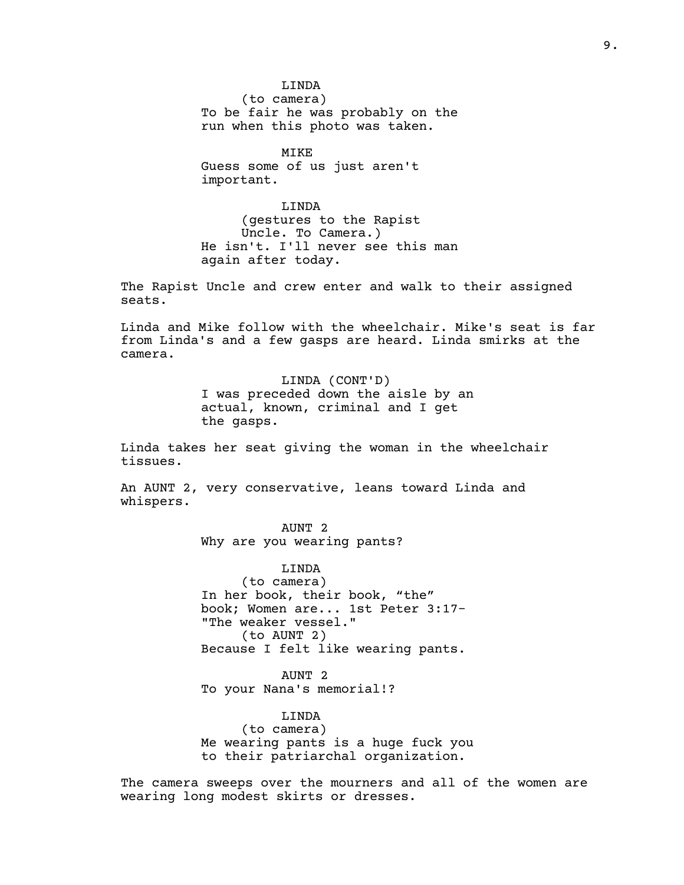LINDA

(to camera) To be fair he was probably on the run when this photo was taken.

MIKE Guess some of us just aren't important.

LINDA (gestures to the Rapist Uncle. To Camera.) He isn't. I'll never see this man again after today.

The Rapist Uncle and crew enter and walk to their assigned seats.

Linda and Mike follow with the wheelchair. Mike's seat is far from Linda's and a few gasps are heard. Linda smirks at the camera.

> LINDA (CONT'D) I was preceded down the aisle by an actual, known, criminal and I get the gasps.

Linda takes her seat giving the woman in the wheelchair tissues.

An AUNT 2, very conservative, leans toward Linda and whispers.

> AUNT 2 Why are you wearing pants?

LINDA (to camera) In her book, their book, "the" book; Women are... 1st Peter 3:17- "The weaker vessel." (to AUNT 2) Because I felt like wearing pants.

AUNT 2 To your Nana's memorial!?

LINDA (to camera) Me wearing pants is a huge fuck you to their patriarchal organization.

The camera sweeps over the mourners and all of the women are wearing long modest skirts or dresses.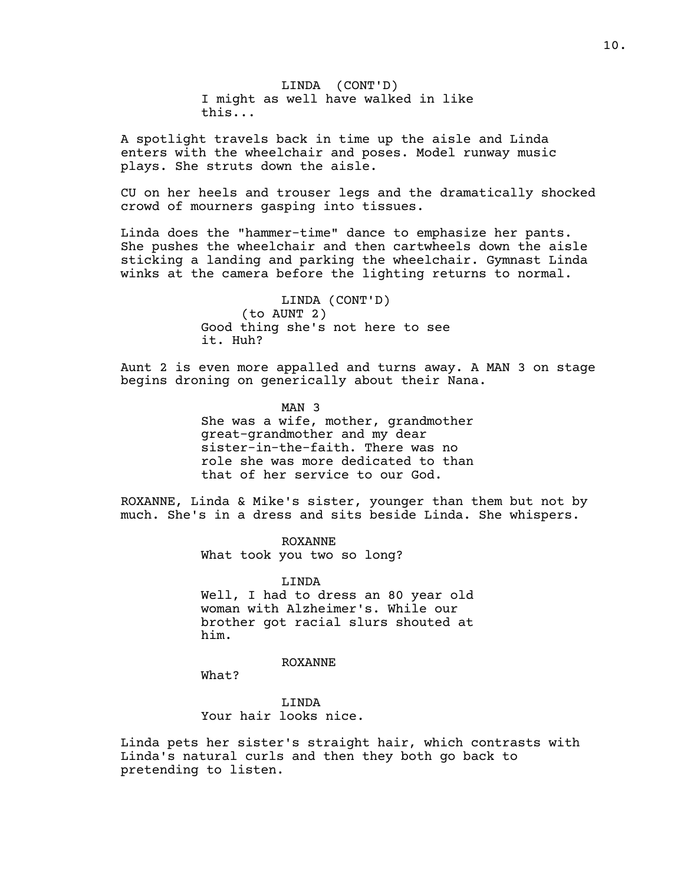LINDA (CONT'D) I might as well have walked in like this...

A spotlight travels back in time up the aisle and Linda enters with the wheelchair and poses. Model runway music plays. She struts down the aisle.

CU on her heels and trouser legs and the dramatically shocked crowd of mourners gasping into tissues.

Linda does the "hammer-time" dance to emphasize her pants. She pushes the wheelchair and then cartwheels down the aisle sticking a landing and parking the wheelchair. Gymnast Linda winks at the camera before the lighting returns to normal.

> LINDA (CONT'D) (to AUNT 2) Good thing she's not here to see it. Huh?

Aunt 2 is even more appalled and turns away. A MAN 3 on stage begins droning on generically about their Nana.

> MAN 3 She was a wife, mother, grandmother great-grandmother and my dear sister-in-the-faith. There was no role she was more dedicated to than that of her service to our God.

ROXANNE, Linda & Mike's sister, younger than them but not by much. She's in a dress and sits beside Linda. She whispers.

> ROXANNE What took you two so long?

LINDA Well, I had to dress an 80 year old woman with Alzheimer's. While our brother got racial slurs shouted at him.

ROXANNE

What?

LINDA Your hair looks nice.

Linda pets her sister's straight hair, which contrasts with Linda's natural curls and then they both go back to pretending to listen.